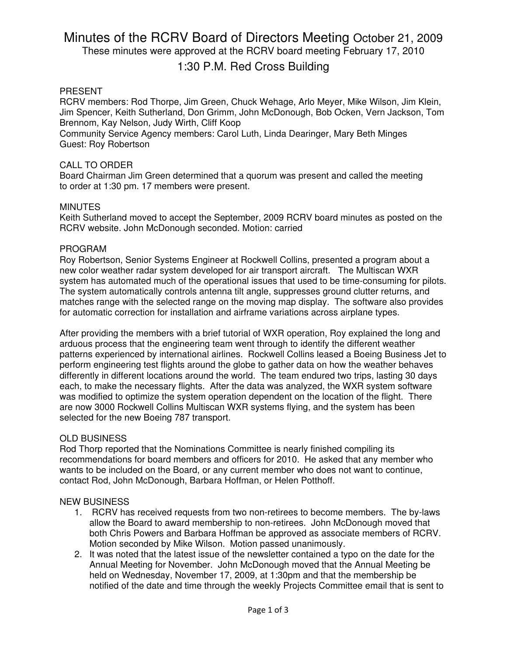# Minutes of the RCRV Board of Directors Meeting October 21, 2009

These minutes were approved at the RCRV board meeting February 17, 2010

## 1:30 P.M. Red Cross Building

#### PRESENT

RCRV members: Rod Thorpe, Jim Green, Chuck Wehage, Arlo Meyer, Mike Wilson, Jim Klein, Jim Spencer, Keith Sutherland, Don Grimm, John McDonough, Bob Ocken, Vern Jackson, Tom Brennom, Kay Nelson, Judy Wirth, Cliff Koop

Community Service Agency members: Carol Luth, Linda Dearinger, Mary Beth Minges Guest: Roy Robertson

#### CALL TO ORDER

Board Chairman Jim Green determined that a quorum was present and called the meeting to order at 1:30 pm. 17 members were present.

#### **MINUTES**

Keith Sutherland moved to accept the September, 2009 RCRV board minutes as posted on the RCRV website. John McDonough seconded. Motion: carried

#### PROGRAM

Roy Robertson, Senior Systems Engineer at Rockwell Collins, presented a program about a new color weather radar system developed for air transport aircraft. The Multiscan WXR system has automated much of the operational issues that used to be time-consuming for pilots. The system automatically controls antenna tilt angle, suppresses ground clutter returns, and matches range with the selected range on the moving map display. The software also provides for automatic correction for installation and airframe variations across airplane types.

After providing the members with a brief tutorial of WXR operation, Roy explained the long and arduous process that the engineering team went through to identify the different weather patterns experienced by international airlines. Rockwell Collins leased a Boeing Business Jet to perform engineering test flights around the globe to gather data on how the weather behaves differently in different locations around the world. The team endured two trips, lasting 30 days each, to make the necessary flights. After the data was analyzed, the WXR system software was modified to optimize the system operation dependent on the location of the flight. There are now 3000 Rockwell Collins Multiscan WXR systems flying, and the system has been selected for the new Boeing 787 transport.

#### OLD BUSINESS

Rod Thorp reported that the Nominations Committee is nearly finished compiling its recommendations for board members and officers for 2010. He asked that any member who wants to be included on the Board, or any current member who does not want to continue, contact Rod, John McDonough, Barbara Hoffman, or Helen Potthoff.

#### NEW BUSINESS

- 1. RCRV has received requests from two non-retirees to become members. The by-laws allow the Board to award membership to non-retirees. John McDonough moved that both Chris Powers and Barbara Hoffman be approved as associate members of RCRV. Motion seconded by Mike Wilson. Motion passed unanimously.
- 2. It was noted that the latest issue of the newsletter contained a typo on the date for the Annual Meeting for November. John McDonough moved that the Annual Meeting be held on Wednesday, November 17, 2009, at 1:30pm and that the membership be notified of the date and time through the weekly Projects Committee email that is sent to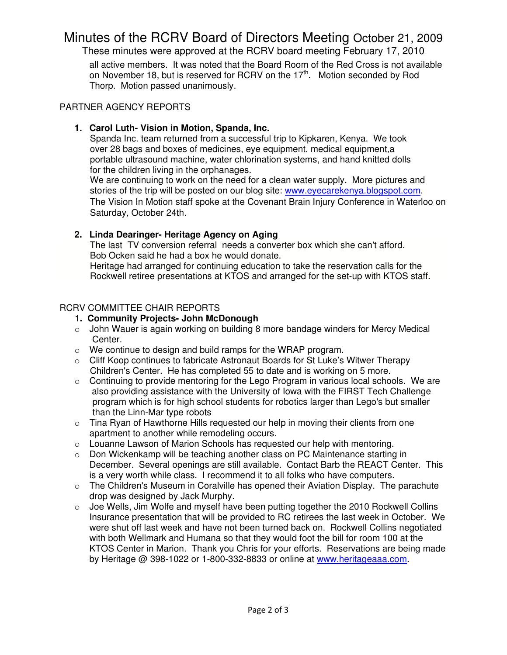## Minutes of the RCRV Board of Directors Meeting October 21, 2009

These minutes were approved at the RCRV board meeting February 17, 2010

all active members. It was noted that the Board Room of the Red Cross is not available on November 18, but is reserved for RCRV on the 17<sup>th</sup>. Motion seconded by Rod Thorp. Motion passed unanimously.

## PARTNER AGENCY REPORTS

## **1. Carol Luth- Vision in Motion, Spanda, Inc.**

 Spanda Inc. team returned from a successful trip to Kipkaren, Kenya. We took over 28 bags and boxes of medicines, eye equipment, medical equipment,a portable ultrasound machine, water chlorination systems, and hand knitted dolls for the children living in the orphanages.

 We are continuing to work on the need for a clean water supply. More pictures and stories of the trip will be posted on our blog site: www.eyecarekenya.blogspot.com. The Vision In Motion staff spoke at the Covenant Brain Injury Conference in Waterloo on Saturday, October 24th.

## **2. Linda Dearinger- Heritage Agency on Aging**

 The last TV conversion referral needs a converter box which she can't afford. Bob Ocken said he had a box he would donate.

 Heritage had arranged for continuing education to take the reservation calls for the Rockwell retiree presentations at KTOS and arranged for the set-up with KTOS staff.

## RCRV COMMITTEE CHAIR REPORTS

## 1**. Community Projects- John McDonough**

- o John Wauer is again working on building 8 more bandage winders for Mercy Medical Center.
- o We continue to design and build ramps for the WRAP program.
- o Cliff Koop continues to fabricate Astronaut Boards for St Luke's Witwer Therapy Children's Center. He has completed 55 to date and is working on 5 more.
- o Continuing to provide mentoring for the Lego Program in various local schools. We are also providing assistance with the University of Iowa with the FIRST Tech Challenge program which is for high school students for robotics larger than Lego's but smaller than the Linn-Mar type robots
- o Tina Ryan of Hawthorne Hills requested our help in moving their clients from one apartment to another while remodeling occurs.
- $\circ$  Louanne Lawson of Marion Schools has requested our help with mentoring.
- $\circ$  Don Wickenkamp will be teaching another class on PC Maintenance starting in December. Several openings are still available. Contact Barb the REACT Center. This is a very worth while class. I recommend it to all folks who have computers.
- $\circ$  The Children's Museum in Coralville has opened their Aviation Display. The parachute drop was designed by Jack Murphy.
- o Joe Wells, Jim Wolfe and myself have been putting together the 2010 Rockwell Collins Insurance presentation that will be provided to RC retirees the last week in October. We were shut off last week and have not been turned back on. Rockwell Collins negotiated with both Wellmark and Humana so that they would foot the bill for room 100 at the KTOS Center in Marion. Thank you Chris for your efforts. Reservations are being made by Heritage @ 398-1022 or 1-800-332-8833 or online at www.heritageaaa.com.